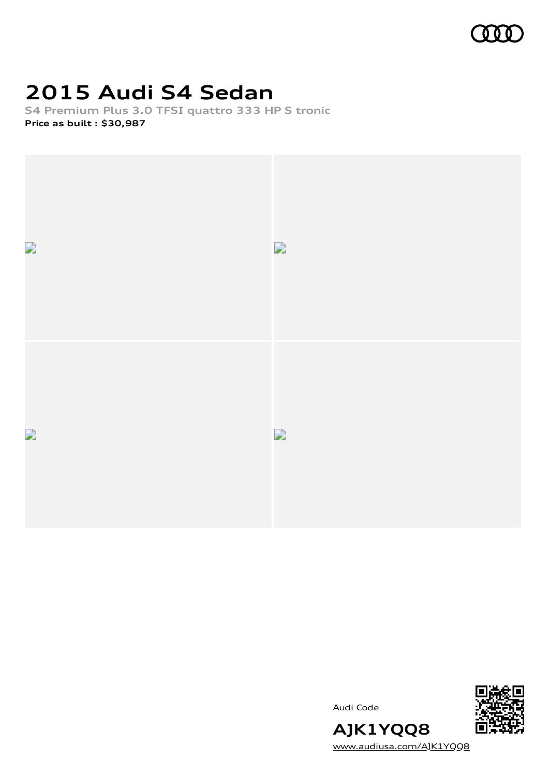

## **2015 Audi S4 Sedan**

**S4 Premium Plus 3.0 TFSI quattro 333 HP S tronic Price as built [:](#page-10-0) \$30,987**



Audi Code



[www.audiusa.com/AJK1YQQ8](https://www.audiusa.com/AJK1YQQ8)

**AJK1YQQ8**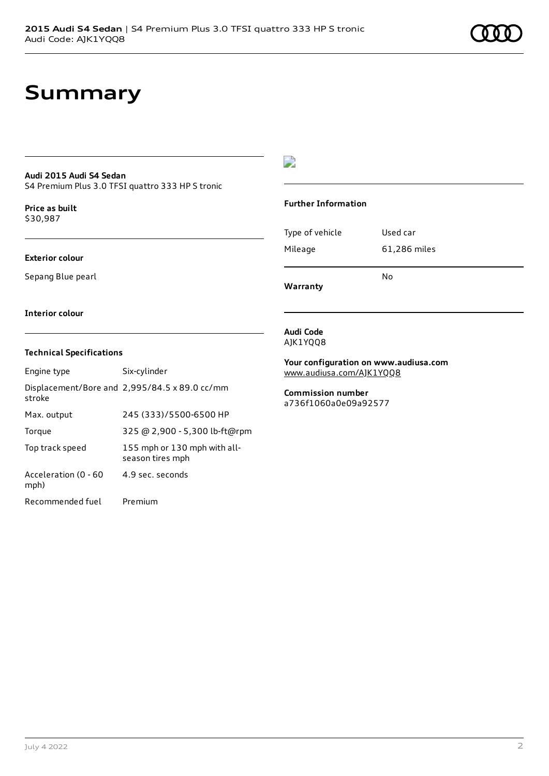## **Summary**

#### **Audi 2015 Audi S4 Sedan**

S4 Premium Plus 3.0 TFSI quattro 333 HP S tronic

**Price as buil[t](#page-10-0)** \$30,987

#### **Exterior colour**

Sepang Blue pearl

### $\overline{\phantom{a}}$

#### **Further Information**

|                 | N٥           |
|-----------------|--------------|
| Mileage         | 61,286 miles |
| Type of vehicle | Used car     |

**Warranty**

#### **Interior colour**

#### **Technical Specifications**

| Engine type                  | Six-cylinder                                     |
|------------------------------|--------------------------------------------------|
| stroke                       | Displacement/Bore and 2,995/84.5 x 89.0 cc/mm    |
| Max. output                  | 245 (333)/5500-6500 HP                           |
| Torque                       | 325 @ 2,900 - 5,300 lb-ft@rpm                    |
| Top track speed              | 155 mph or 130 mph with all-<br>season tires mph |
| Acceleration (0 - 60<br>mph) | 4.9 sec. seconds                                 |
| Recommended fuel             | Premium                                          |

#### **Audi Code** AJK1YQQ8

**Your configuration on www.audiusa.com** [www.audiusa.com/AJK1YQQ8](https://www.audiusa.com/AJK1YQQ8)

#### **Commission number** a736f1060a0e09a92577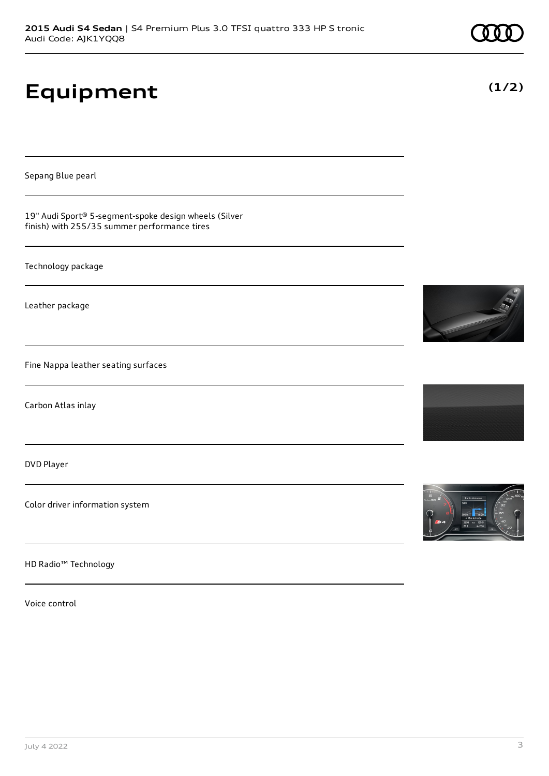# **Equipment**

Sepang Blue pearl

19" Audi Sport® 5-segment-spoke design wheels (Silver finish) with 255/35 summer performance tires

Technology package

Leather package

Fine Nappa leather seating surfaces

Carbon Atlas inlay

DVD Player

Color driver information system

HD Radio™ Technology

Voice control







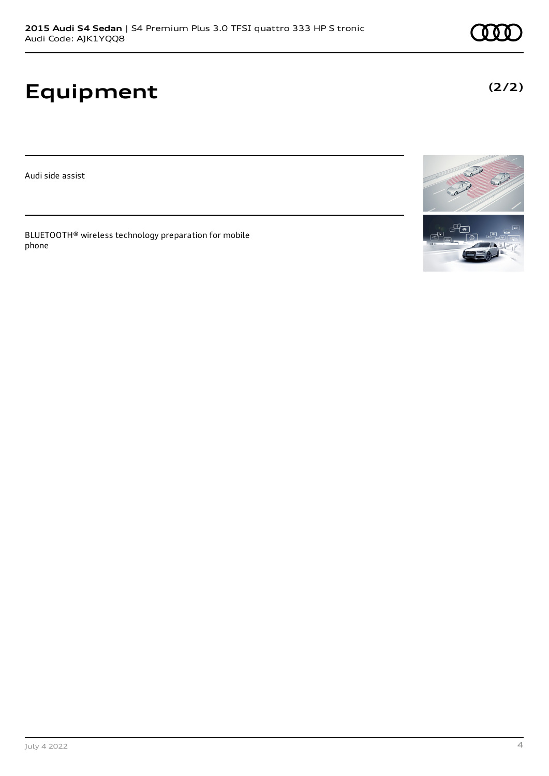# **Equipment**

Audi side assist

BLUETOOTH® wireless technology preparation for mobile phone





**(2/2)**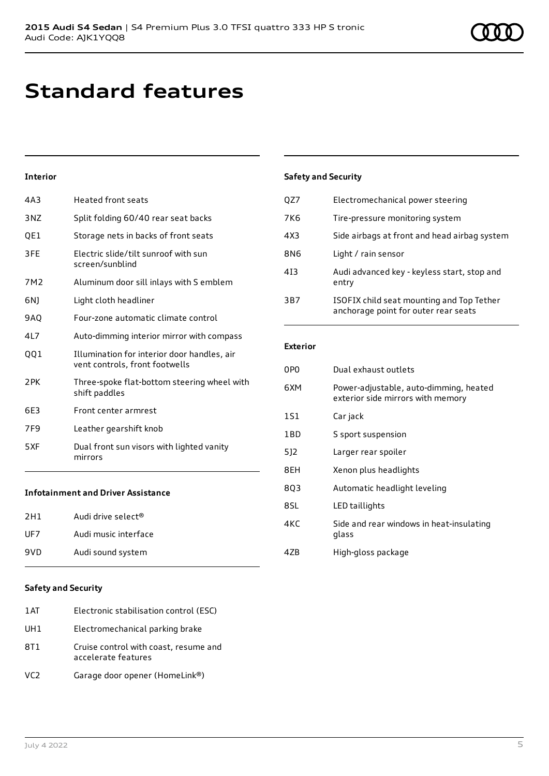# **Standard features**

### **Interior**

| 4A3             | <b>Heated front seats</b>                                                     |
|-----------------|-------------------------------------------------------------------------------|
| 3NZ             | Split folding 60/40 rear seat backs                                           |
| QE1             | Storage nets in backs of front seats                                          |
| 3FE             | Electric slide/tilt sunroof with sun<br>screen/sunblind                       |
| 7M2             | Aluminum door sill inlays with S emblem                                       |
| 6N)             | Light cloth headliner                                                         |
| <b>9AQ</b>      | Four-zone automatic climate control                                           |
| 4L7             | Auto-dimming interior mirror with compass                                     |
| 001             | Illumination for interior door handles, air<br>vent controls, front footwells |
| 2PK             | Three-spoke flat-bottom steering wheel with<br>shift paddles                  |
| 6E3             | Front center armrest                                                          |
| 7F <sub>9</sub> | Leather gearshift knob                                                        |
| 5XF             | Dual front sun visors with lighted vanity<br>mirrors                          |
|                 | Infotainment and Driver Accictance                                            |

#### **Infotainment and Driver Assistance**

| 2H1 | Audi drive select <sup>®</sup> |
|-----|--------------------------------|
| UF7 | Audi music interface           |
| 9VD | Audi sound system              |

#### **Safety and Security**

| 1 AT            | Electronic stabilisation control (ESC)                       |
|-----------------|--------------------------------------------------------------|
| UH1             | Electromechanical parking brake                              |
| 8T1             | Cruise control with coast, resume and<br>accelerate features |
| VC <sub>2</sub> | Garage door opener (HomeLink®)                               |

### **Safety and Security**

| QZ7 | Electromechanical power steering                                                  |
|-----|-----------------------------------------------------------------------------------|
| 7K6 | Tire-pressure monitoring system                                                   |
| 4X3 | Side airbags at front and head airbag system                                      |
| 8N6 | Light / rain sensor                                                               |
| 413 | Audi advanced key - keyless start, stop and<br>entry                              |
| 3B7 | ISOFIX child seat mounting and Top Tether<br>anchorage point for outer rear seats |

#### **Exterior**

| 0PO   | Dual exhaust outlets                                                        |
|-------|-----------------------------------------------------------------------------|
| 6XM   | Power-adjustable, auto-dimming, heated<br>exterior side mirrors with memory |
| 1S1   | Car jack                                                                    |
| 1 B D | S sport suspension                                                          |
| 512   | Larger rear spoiler                                                         |
| 8EH   | Xenon plus headlights                                                       |
| 803   | Automatic headlight leveling                                                |
| 8SL   | LED taillights                                                              |
| 4KC   | Side and rear windows in heat-insulating<br>glass                           |
| 47B   | High-gloss package                                                          |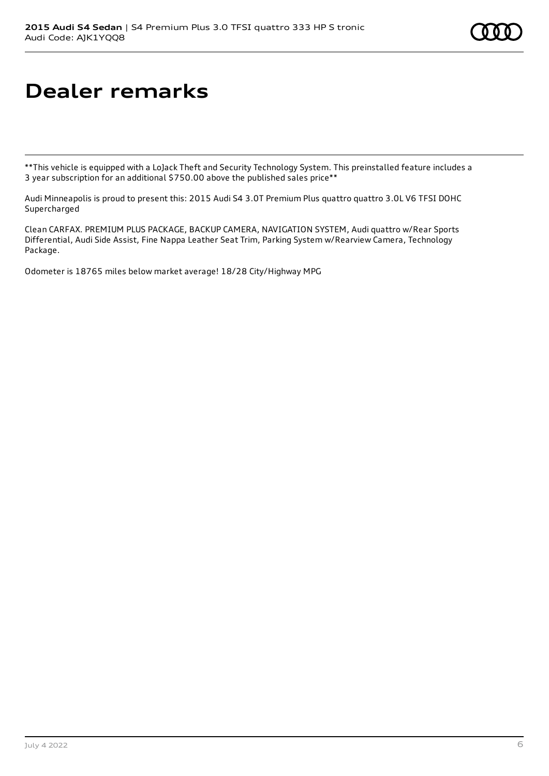# **Dealer remarks**

\*\*This vehicle is equipped with a LoJack Theft and Security Technology System. This preinstalled feature includes a 3 year subscription for an additional \$750.00 above the published sales price\*\*

Audi Minneapolis is proud to present this: 2015 Audi S4 3.0T Premium Plus quattro quattro 3.0L V6 TFSI DOHC **Supercharged** 

Clean CARFAX. PREMIUM PLUS PACKAGE, BACKUP CAMERA, NAVIGATION SYSTEM, Audi quattro w/Rear Sports Differential, Audi Side Assist, Fine Nappa Leather Seat Trim, Parking System w/Rearview Camera, Technology Package.

Odometer is 18765 miles below market average! 18/28 City/Highway MPG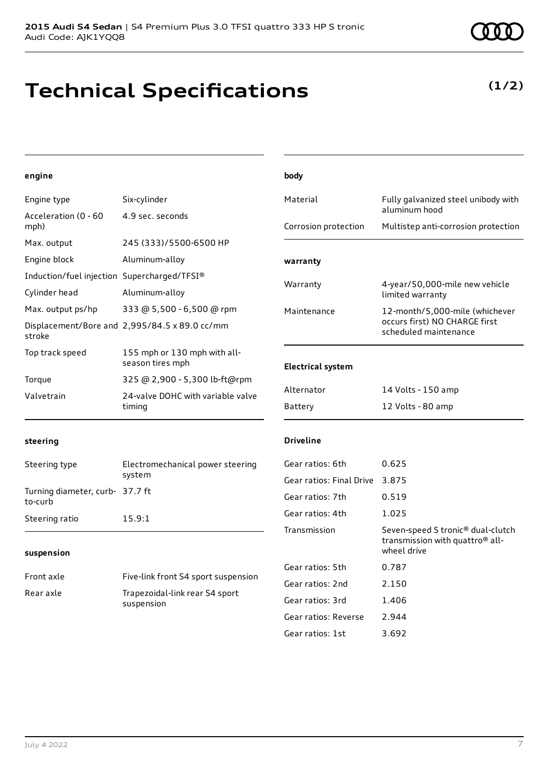## **Technical Specifications**

| engine                                      |                                                  | body                     |                                                                                                 |
|---------------------------------------------|--------------------------------------------------|--------------------------|-------------------------------------------------------------------------------------------------|
| Engine type                                 | Six-cylinder                                     | Material                 | Fully galvanized steel unibody with<br>aluminum hood                                            |
| Acceleration (0 - 60<br>mph)                | 4.9 sec. seconds                                 | Corrosion protection     | Multistep anti-corrosion protection                                                             |
| Max. output                                 | 245 (333)/5500-6500 HP                           |                          |                                                                                                 |
| Engine block                                | Aluminum-alloy                                   | warranty                 |                                                                                                 |
| Induction/fuel injection Supercharged/TFSI® |                                                  |                          |                                                                                                 |
| Cylinder head                               | Aluminum-alloy                                   | Warranty                 | 4-year/50,000-mile new vehicle<br>limited warranty                                              |
| Max. output ps/hp                           | 333 @ 5,500 - 6,500 @ rpm                        | Maintenance              | 12-month/5,000-mile (whichever                                                                  |
| stroke                                      | Displacement/Bore and 2,995/84.5 x 89.0 cc/mm    |                          | occurs first) NO CHARGE first<br>scheduled maintenance                                          |
| Top track speed                             | 155 mph or 130 mph with all-<br>season tires mph | <b>Electrical system</b> |                                                                                                 |
| Torque                                      | 325 @ 2,900 - 5,300 lb-ft@rpm                    |                          |                                                                                                 |
| Valvetrain                                  | 24-valve DOHC with variable valve<br>timing      | Alternator               | 14 Volts - 150 amp                                                                              |
|                                             |                                                  | Battery                  | 12 Volts - 80 amp                                                                               |
| steering                                    |                                                  | <b>Driveline</b>         |                                                                                                 |
| Steering type                               | Electromechanical power steering                 | Gear ratios: 6th         | 0.625                                                                                           |
|                                             | system                                           | Gear ratios: Final Drive | 3.875                                                                                           |
| Turning diameter, curb- 37.7 ft<br>to-curb  |                                                  | Gear ratios: 7th         | 0.519                                                                                           |
| Steering ratio                              | 15.9:1                                           | Gear ratios: 4th         | 1.025                                                                                           |
| suspension                                  |                                                  | Transmission             | Seven-speed S tronic® dual-clutch<br>transmission with quattro <sup>®</sup> all-<br>wheel drive |
|                                             |                                                  | Gear ratios: 5th         | 0.787                                                                                           |
| Front axle                                  | Five-link front S4 sport suspension              | Gear ratios: 2nd         | 2.150                                                                                           |
| Rear axle                                   | Trapezoidal-link rear S4 sport<br>suspension     | Gear ratios: 3rd         | 1.406                                                                                           |
|                                             |                                                  | Gear ratios: Reverse     | 2.944                                                                                           |
|                                             |                                                  | Gear ratios: 1st         | 3.692                                                                                           |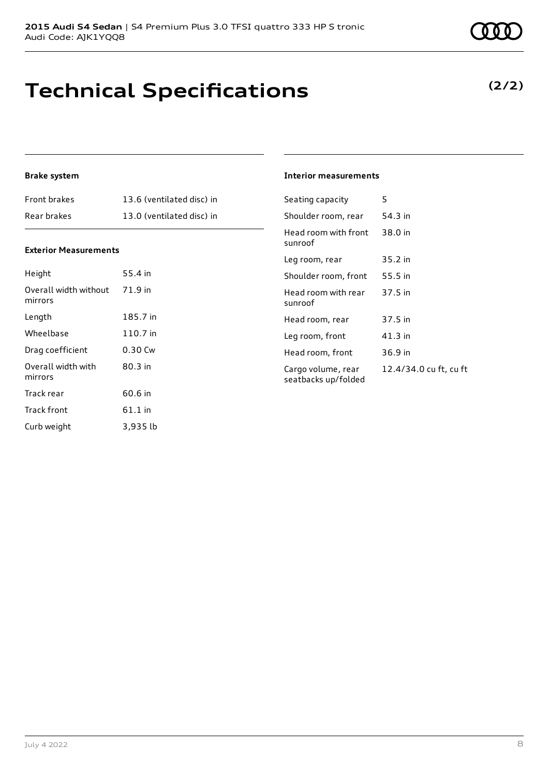## **Technical Specifications**

## **(2/2)**

### **Brake system**

| Front brakes | 13.6 (ventilated disc) in |
|--------------|---------------------------|
| Rear brakes  | 13.0 (ventilated disc) in |

#### **Exterior Measurements**

| Height                           | 55.4 in   |
|----------------------------------|-----------|
| Overall width without<br>mirrors | 71.9 in   |
| Length                           | 185.7 in  |
| Wheelbase                        | 110.7 in  |
| Drag coefficient                 | 0.30 Cw   |
| Overall width with<br>mirrors    | 80.3 in   |
| Track rear                       | 60.6 in   |
| <b>Track front</b>               | $61.1$ in |
| Curb weight                      | 3.935 lb  |

#### **Interior measurements**

| Seating capacity                          | 5                      |
|-------------------------------------------|------------------------|
| Shoulder room, rear                       | 54.3 in                |
| Head room with front<br>sunroof           | 38.0 in                |
| Leg room, rear                            | 35.2 in                |
| Shoulder room. front                      | 55.5 in                |
| Head room with rear<br>sunroof            | 37.5 in                |
| Head room, rear                           | 37.5 in                |
| Leg room, front                           | $41.3$ in              |
| Head room, front                          | 36.9 in                |
| Cargo volume, rear<br>seatbacks up/folded | 12.4/34.0 cu ft, cu ft |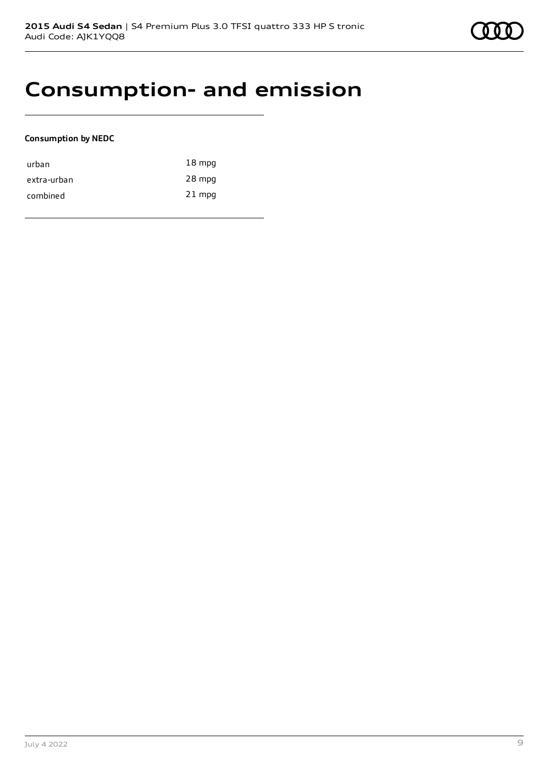## **Consumption- and emission**

### **Consumption by NEDC**

| urban       | $18 \text{ mpg}$ |
|-------------|------------------|
| extra-urban | 28 mpg           |
| combined    | $21$ mpg         |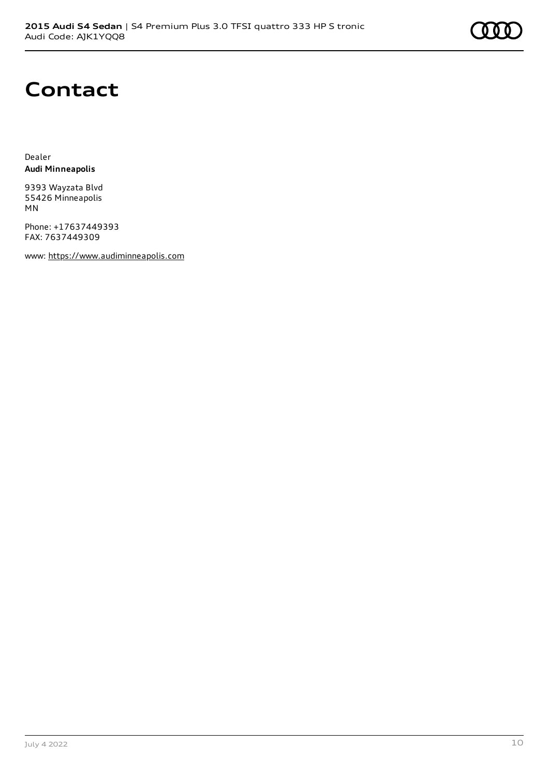# **Contact**

Dealer **Audi Minneapolis**

9393 Wayzata Blvd 55426 Minneapolis MN

Phone: +17637449393 FAX: 7637449309

www: [https://www.audiminneapolis.com](https://www.audiminneapolis.com/)